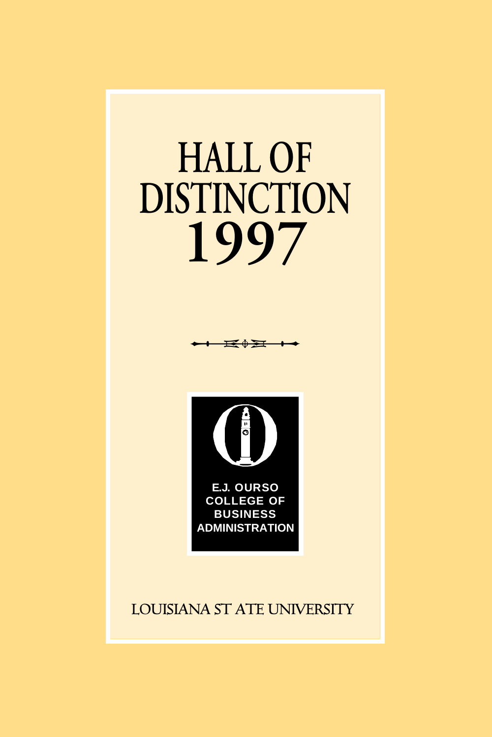## **1997 HALL OF DISTINCTION**

**p**



### **LOUISIANA ST ATE UNIVERSITY**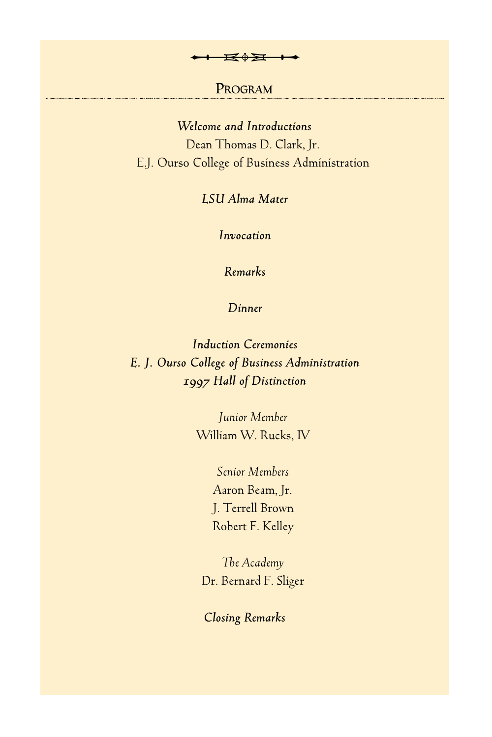# **PROGRAM** <del>→ E<sup>0</sup>Σ + →</del><br>Program

*Welcome and Introductions* Dean Thomas D. Clark, Jr. E.J. Ourso College of Business Administration

*LSU Alma Mater*

*Invocation*

*Remarks*

*Dinner*

*Induction Ceremonies E. J. Ourso College of Business Administration 1997 Hall of Distinction*

> *Junior Member* William W. Rucks, IV

> > *Senior Members* Aaron Beam, Jr. J. Terrell Brown Robert F. Kelley

*The Academy* Dr. Bernard F. Sliger

*Closing Remarks*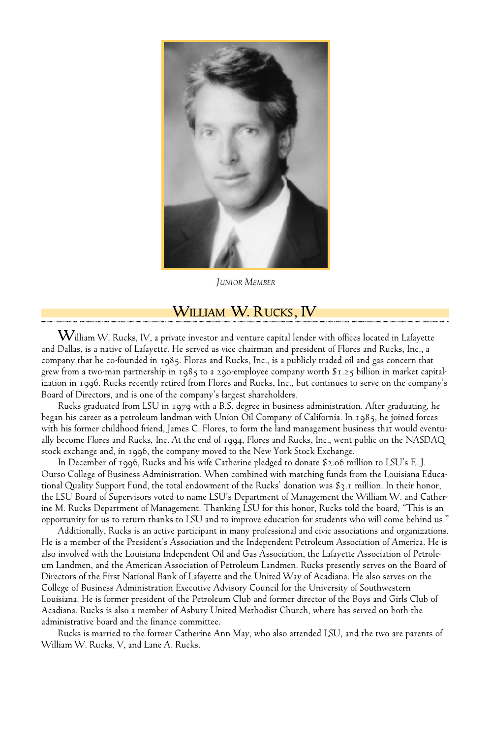

*JUNIOR MEMBER*

#### **WILLIAM W. RUCKS, IV**

 $\rm W$ illiam W. Rucks, IV, a private investor and venture capital lender with offices located in Lafayette and Dallas, is a native of Lafayette. He served as vice chairman and president of Flores and Rucks, Inc., a company that he co-founded in 1985. Flores and Rucks, Inc., is a publicly traded oil and gas concern that grew from a two-man partnership in 1985 to a 290-employee company worth \$1.25 billion in market capitalization in 1996. Rucks recently retired from Flores and Rucks, Inc., but continues to serve on the company's Board of Directors, and is one of the company's largest shareholders.

Rucks graduated from LSU in 1979 with a B.S. degree in business administration. After graduating, he began his career as a petroleum landman with Union Oil Company of California. In 1985, he joined forces with his former childhood friend, James C. Flores, to form the land management business that would eventually become Flores and Rucks, Inc. At the end of 1994, Flores and Rucks, Inc., went public on the NASDAQ stock exchange and, in 1996, the company moved to the New York Stock Exchange.

In December of 1996, Rucks and his wife Catherine pledged to donate \$2.06 million to LSU's E. J. Ourso College of Business Administration. When combined with matching funds from the Louisiana Educational Quality Support Fund, the total endowment of the Rucks' donation was \$3.1 million. In their honor, the LSU Board of Supervisors voted to name LSU's Department of Management the William W. and Catherine M. Rucks Department of Management. Thanking LSU for this honor, Rucks told the board, "This is an opportunity for us to return thanks to LSU and to improve education for students who will come behind us."

Additionally, Rucks is an active participant in many professional and civic associations and organizations. He is a member of the President's Association and the Independent Petroleum Association of America. He is also involved with the Louisiana Independent Oil and Gas Association, the Lafayette Association of Petroleum Landmen, and the American Association of Petroleum Landmen. Rucks presently serves on the Board of Directors of the First National Bank of Lafayette and the United Way of Acadiana. He also serves on the College of Business Administration Executive Advisory Council for the University of Southwestern Louisiana. He is former president of the Petroleum Club and former director of the Boys and Girls Club of Acadiana. Rucks is also a member of Asbury United Methodist Church, where has served on both the administrative board and the finance committee.

Rucks is married to the former Catherine Ann May, who also attended LSU, and the two are parents of William W. Rucks, V, and Lane A. Rucks.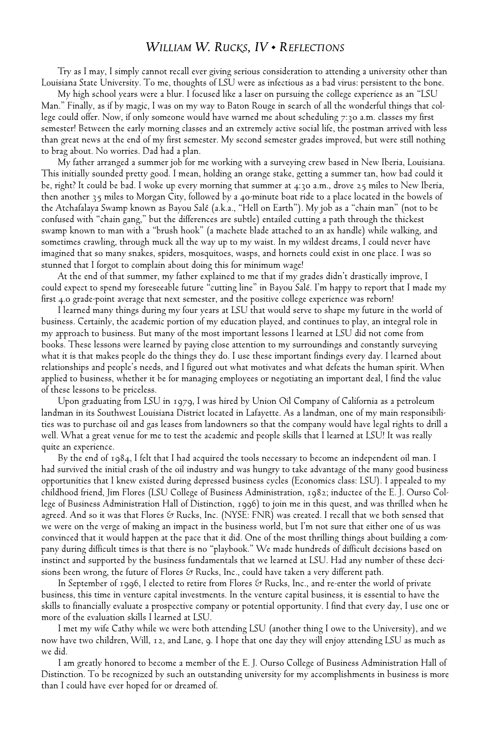#### *WILLIAM W. RUCKS, IV • REFLECTIONS*

Try as I may, I simply cannot recall ever giving serious consideration to attending a university other than Louisiana State University. To me, thoughts of LSU were as infectious as a bad virus: persistent to the bone.

My high school years were a blur. I focused like a laser on pursuing the college experience as an "LSU Man." Finally, as if by magic, I was on my way to Baton Rouge in search of all the wonderful things that college could offer. Now, if only someone would have warned me about scheduling 7:30 a.m. classes my first semester! Between the early morning classes and an extremely active social life, the postman arrived with less than great news at the end of my first semester. My second semester grades improved, but were still nothing to brag about. No worries. Dad had a plan.

My father arranged a summer job for me working with a surveying crew based in New Iberia, Louisiana. This initially sounded pretty good. I mean, holding an orange stake, getting a summer tan, how bad could it be, right? It could be bad. I woke up every morning that summer at 4:30 a.m., drove 25 miles to New Iberia, then another 35 miles to Morgan City, followed by a 40-minute boat ride to a place located in the bowels of the Atchafalaya Swamp known as Bayou Salé (a.k.a., "Hell on Earth"). My job as a "chain man" (not to be confused with "chain gang," but the differences are subtle) entailed cutting a path through the thickest swamp known to man with a "brush hook" (a machete blade attached to an ax handle) while walking, and sometimes crawling, through muck all the way up to my waist. In my wildest dreams, I could never have imagined that so many snakes, spiders, mosquitoes, wasps, and hornets could exist in one place. I was so stunned that I forgot to complain about doing this for minimum wage!

At the end of that summer, my father explained to me that if my grades didn't drastically improve, I could expect to spend my foreseeable future "cutting line" in Bayou Salé. I'm happy to report that I made my first 4.0 grade-point average that next semester, and the positive college experience was reborn!

I learned many things during my four years at LSU that would serve to shape my future in the world of business. Certainly, the academic portion of my education played, and continues to play, an integral role in my approach to business. But many of the most important lessons I learned at LSU did not come from books. These lessons were learned by paying close attention to my surroundings and constantly surveying what it is that makes people do the things they do. I use these important findings every day. I learned about relationships and people's needs, and I figured out what motivates and what defeats the human spirit. When applied to business, whether it be for managing employees or negotiating an important deal, I find the value of these lessons to be priceless.

Upon graduating from LSU in 1979, I was hired by Union Oil Company of California as a petroleum landman in its Southwest Louisiana District located in Lafayette. As a landman, one of my main responsibilities was to purchase oil and gas leases from landowners so that the company would have legal rights to drill a well. What a great venue for me to test the academic and people skills that I learned at LSU! It was really quite an experience.

By the end of 1984, I felt that I had acquired the tools necessary to become an independent oil man. I had survived the initial crash of the oil industry and was hungry to take advantage of the many good business opportunities that I knew existed during depressed business cycles (Economics class: LSU). I appealed to my childhood friend, Jim Flores (LSU College of Business Administration, 1982; inductee of the E. J. Ourso College of Business Administration Hall of Distinction, 1996) to join me in this quest, and was thrilled when he agreed. And so it was that Flores & Rucks, Inc. (NYSE: FNR) was created. I recall that we both sensed that we were on the verge of making an impact in the business world, but I'm not sure that either one of us was convinced that it would happen at the pace that it did. One of the most thrilling things about building a company during difficult times is that there is no "playbook." We made hundreds of difficult decisions based on instinct and supported by the business fundamentals that we learned at LSU. Had any number of these decisions been wrong, the future of Flores  $\Im$  Rucks, Inc., could have taken a very different path.

In September of 1996, I elected to retire from Flores & Rucks, Inc., and re-enter the world of private business, this time in venture capital investments. In the venture capital business, it is essential to have the skills to financially evaluate a prospective company or potential opportunity. I find that every day, I use one or more of the evaluation skills I learned at LSU.

I met my wife Cathy while we were both attending LSU (another thing I owe to the University), and we now have two children, Will, 12, and Lane, 9. I hope that one day they will enjoy attending LSU as much as we did.

I am greatly honored to become a member of the E. J. Ourso College of Business Administration Hall of Distinction. To be recognized by such an outstanding university for my accomplishments in business is more than I could have ever hoped for or dreamed of.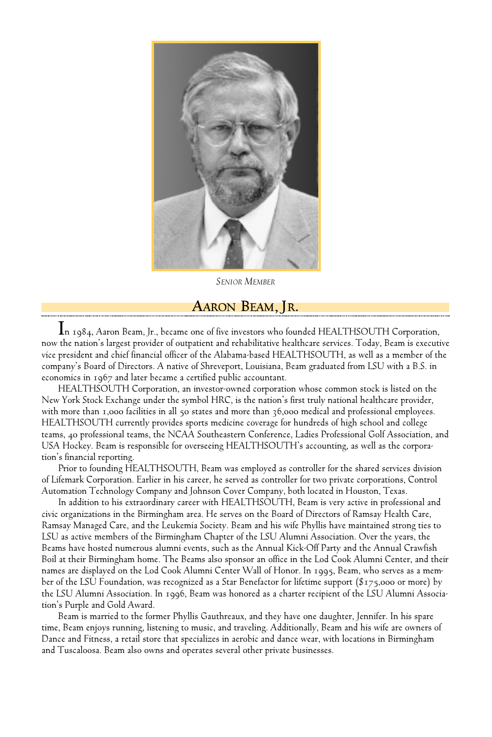

*SENIOR MEMBER*

#### **AARON BEAM, JR.**

**I**n 1984, Aaron Beam, Jr., became one of five investors who founded HEALTHSOUTH Corporation, now the nation's largest provider of outpatient and rehabilitative healthcare services. Today, Beam is executive vice president and chief financial officer of the Alabama-based HEALTHSOUTH, as well as a member of the company's Board of Directors. A native of Shreveport, Louisiana, Beam graduated from LSU with a B.S. in economics in 1967 and later became a certified public accountant.

HEALTHSOUTH Corporation, an investor-owned corporation whose common stock is listed on the New York Stock Exchange under the symbol HRC, is the nation's first truly national healthcare provider, with more than 1,000 facilities in all 50 states and more than 36,000 medical and professional employees. HEALTHSOUTH currently provides sports medicine coverage for hundreds of high school and college teams, 40 professional teams, the NCAA Southeastern Conference, Ladies Professional Golf Association, and USA Hockey. Beam is responsible for overseeing HEALTHSOUTH's accounting, as well as the corporation's financial reporting.

Prior to founding HEALTHSOUTH, Beam was employed as controller for the shared services division of Lifemark Corporation. Earlier in his career, he served as controller for two private corporations, Control Automation Technology Company and Johnson Cover Company, both located in Houston, Texas.

In addition to his extraordinary career with HEALTHSOUTH, Beam is very active in professional and civic organizations in the Birmingham area. He serves on the Board of Directors of Ramsay Health Care, Ramsay Managed Care, and the Leukemia Society. Beam and his wife Phyllis have maintained strong ties to LSU as active members of the Birmingham Chapter of the LSU Alumni Association. Over the years, the Beams have hosted numerous alumni events, such as the Annual Kick-Off Party and the Annual Crawfish Boil at their Birmingham home. The Beams also sponsor an office in the Lod Cook Alumni Center, and their names are displayed on the Lod Cook Alumni Center Wall of Honor. In 1995, Beam, who serves as a member of the LSU Foundation, was recognized as a Star Benefactor for lifetime support (\$175,000 or more) by the LSU Alumni Association. In 1996, Beam was honored as a charter recipient of the LSU Alumni Association's Purple and Gold Award.

Beam is married to the former Phyllis Gauthreaux, and they have one daughter, Jennifer. In his spare time, Beam enjoys running, listening to music, and traveling. Additionally, Beam and his wife are owners of Dance and Fitness, a retail store that specializes in aerobic and dance wear, with locations in Birmingham and Tuscaloosa. Beam also owns and operates several other private businesses.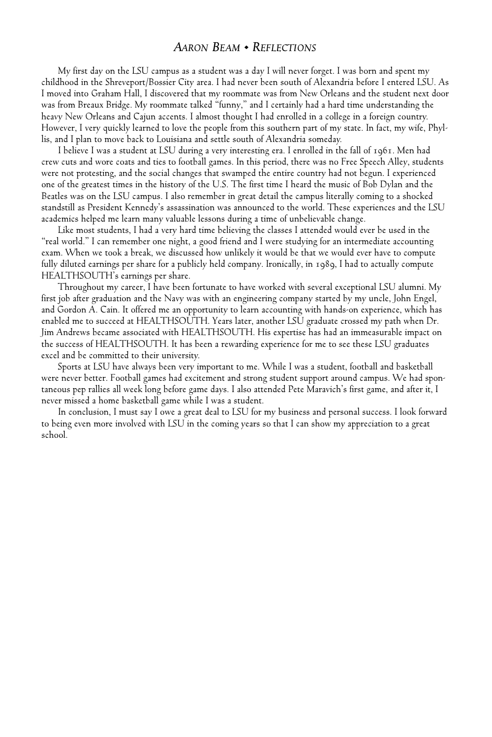#### *AARON BEAM • REFLECTIONS*

My first day on the LSU campus as a student was a day I will never forget. I was born and spent my childhood in the Shreveport/Bossier City area. I had never been south of Alexandria before I entered LSU. As I moved into Graham Hall, I discovered that my roommate was from New Orleans and the student next door was from Breaux Bridge. My roommate talked "funny," and I certainly had a hard time understanding the heavy New Orleans and Cajun accents. I almost thought I had enrolled in a college in a foreign country. However, I very quickly learned to love the people from this southern part of my state. In fact, my wife, Phyllis, and I plan to move back to Louisiana and settle south of Alexandria someday.

I believe I was a student at LSU during a very interesting era. I enrolled in the fall of 1961. Men had crew cuts and wore coats and ties to football games. In this period, there was no Free Speech Alley, students were not protesting, and the social changes that swamped the entire country had not begun. I experienced one of the greatest times in the history of the U.S. The first time I heard the music of Bob Dylan and the Beatles was on the LSU campus. I also remember in great detail the campus literally coming to a shocked standstill as President Kennedy's assassination was announced to the world. These experiences and the LSU academics helped me learn many valuable lessons during a time of unbelievable change.

Like most students, I had a very hard time believing the classes I attended would ever be used in the "real world." I can remember one night, a good friend and I were studying for an intermediate accounting exam. When we took a break, we discussed how unlikely it would be that we would ever have to compute fully diluted earnings per share for a publicly held company. Ironically, in 1989, I had to actually compute HEALTHSOUTH's earnings per share.

Throughout my career, I have been fortunate to have worked with several exceptional LSU alumni. My first job after graduation and the Navy was with an engineering company started by my uncle, John Engel, and Gordon A. Cain. It offered me an opportunity to learn accounting with hands-on experience, which has enabled me to succeed at HEALTHSOUTH. Years later, another LSU graduate crossed my path when Dr. Jim Andrews became associated with HEALTHSOUTH. His expertise has had an immeasurable impact on the success of HEALTHSOUTH. It has been a rewarding experience for me to see these LSU graduates excel and be committed to their university.

Sports at LSU have always been very important to me. While I was a student, football and basketball were never better. Football games had excitement and strong student support around campus. We had spontaneous pep rallies all week long before game days. I also attended Pete Maravich's first game, and after it, I never missed a home basketball game while I was a student.

In conclusion, I must say I owe a great deal to LSU for my business and personal success. I look forward to being even more involved with LSU in the coming years so that I can show my appreciation to a great school.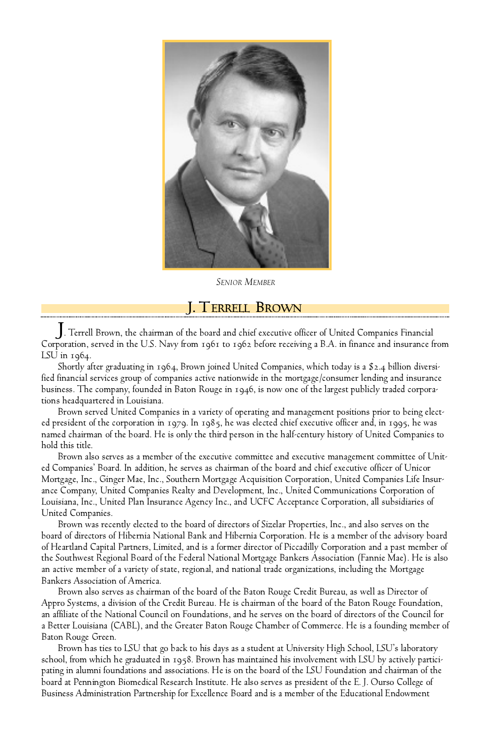

*SENIOR MEMBER*

**J. TERRELL BROWN**

. Terrell Brown, the chairman of the board and chief executive officer of United Companies Financial Corporation, served in the U.S. Navy from 1961 to 1962 before receiving a B.A. in finance and insurance from LSU in 1964.

Shortly after graduating in 1964, Brown joined United Companies, which today is a \$2.4 billion diversified financial services group of companies active nationwide in the mortgage/consumer lending and insurance business. The company, founded in Baton Rouge in 1946, is now one of the largest publicly traded corporations headquartered in Louisiana.

Brown served United Companies in a variety of operating and management positions prior to being elected president of the corporation in 1979. In 1985, he was elected chief executive officer and, in 1995, he was named chairman of the board. He is only the third person in the half-century history of United Companies to hold this title.

Brown also serves as a member of the executive committee and executive management committee of United Companies' Board. In addition, he serves as chairman of the board and chief executive officer of Unicor Mortgage, Inc., Ginger Mae, Inc., Southern Mortgage Acquisition Corporation, United Companies Life Insurance Company, United Companies Realty and Development, Inc., United Communications Corporation of Louisiana, Inc., United Plan Insurance Agency Inc., and UCFC Acceptance Corporation, all subsidiaries of United Companies.

Brown was recently elected to the board of directors of Sizelar Properties, Inc., and also serves on the board of directors of Hibernia National Bank and Hibernia Corporation. He is a member of the advisory board of Heartland Capital Partners, Limited, and is a former director of Piccadilly Corporation and a past member of the Southwest Regional Board of the Federal National Mortgage Bankers Association (Fannie Mae). He is also an active member of a variety of state, regional, and national trade organizations, including the Mortgage Bankers Association of America.

Brown also serves as chairman of the board of the Baton Rouge Credit Bureau, as well as Director of Appro Systems, a division of the Credit Bureau. He is chairman of the board of the Baton Rouge Foundation, an affiliate of the National Council on Foundations, and he serves on the board of directors of the Council for a Better Louisiana (CABL), and the Greater Baton Rouge Chamber of Commerce. He is a founding member of Baton Rouge Green.

Brown has ties to LSU that go back to his days as a student at University High School, LSU's laboratory school, from which he graduated in 1958. Brown has maintained his involvement with LSU by actively participating in alumni foundations and associations. He is on the board of the LSU Foundation and chairman of the board at Pennington Biomedical Research Institute. He also serves as president of the E. J. Ourso College of Business Administration Partnership for Excellence Board and is a member of the Educational Endowment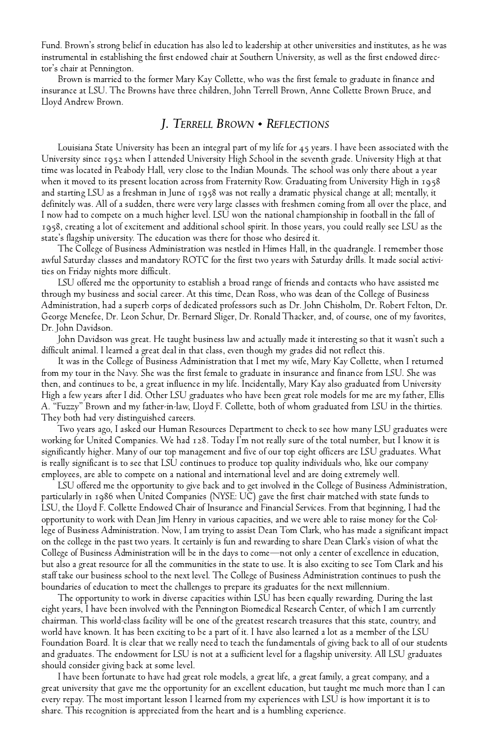Fund. Brown's strong belief in education has also led to leadership at other universities and institutes, as he was instrumental in establishing the first endowed chair at Southern University, as well as the first endowed director's chair at Pennington.

Brown is married to the former Mary Kay Collette, who was the first female to graduate in finance and insurance at LSU. The Browns have three children, John Terrell Brown, Anne Collette Brown Bruce, and Lloyd Andrew Brown.

#### *J. TE R R E L L BR O W N • RE F L E CT I O N S*

Louisiana State University has been an integral part of my life for 45 years. I have been associated with the University since 1952 when I attended University High School in the seventh grade. University High at that time was located in Peabody Hall, very close to the Indian Mounds. The school was only there about a year when it moved to its present location across from Fraternity Row. Graduating from University High in 1958 and starting LSU as a freshman in June of 1958 was not really a dramatic physical change at all; mentally, it definitely was. All of a sudden, there were very large classes with freshmen coming from all over the place, and I now had to compete on a much higher level. LSU won the national championship in football in the fall of 1958, creating a lot of excitement and additional school spirit. In those years, you could really see LSU as the state's flagship university. The education was there for those who desired it.

The College of Business Administration was nestled in Himes Hall, in the quadrangle. I remember those awful Saturday classes and mandatory ROTC for the first two years with Saturday drills. It made social activities on Friday nights more difficult.

LSU offered me the opportunity to establish a broad range of friends and contacts who have assisted me through my business and social career. At this time, Dean Ross, who was dean of the College of Business Administration, had a superb corps of dedicated professors such as Dr. John Chisholm, Dr. Robert Felton, Dr. George Menefee, Dr. Leon Schur, Dr. Bernard Sliger, Dr. Ronald Thacker, and, of course, one of my favorites, Dr. John Davidson.

John Davidson was great. He taught business law and actually made it interesting so that it wasn't such a difficult animal. I learned a great deal in that class, even though my grades did not reflect this.

It was in the College of Business Administration that I met my wife, Mary Kay Collette, when I returned from my tour in the Navy. She was the first female to graduate in insurance and finance from LSU. She was then, and continues to be, a great influence in my life. Incidentally, Mary Kay also graduated from University High a few years after I did. Other LSU graduates who have been great role models for me are my father, Ellis A. "Fuzzy" Brown and my father-in-law, Lloyd F. Collette, both of whom graduated from LSU in the thirties. They both had very distinguished careers.

Two years ago, I asked our Human Resources Department to check to see how many LSU graduates were working for United Companies. We had 128. Today I'm not really sure of the total number, but I know it is significantly higher. Many of our top management and five of our top eight officers are LSU graduates. What is really significant is to see that LSU continues to produce top quality individuals who, like our company employees, are able to compete on a national and international level and are doing extremely well.

LSU offered me the opportunity to give back and to get involved in the College of Business Administration, particularly in 1986 when United Companies (NYSE: UC) gave the first chair matched with state funds to LSU, the Lloyd F. Collette Endowed Chair of Insurance and Financial Services. From that beginning, I had the opportunity to work with Dean Jim Henry in various capacities, and we were able to raise money for the College of Business Administration. Now, I am trying to assist Dean Tom Clark, who has made a significant impact on the college in the past two years. It certainly is fun and rewarding to share Dean Clark's vision of what the College of Business Administration will be in the days to come—not only a center of excellence in education, but also a great resource for all the communities in the state to use. It is also exciting to see Tom Clark and his staff take our business school to the next level. The College of Business Administration continues to push the boundaries of education to meet the challenges to prepare its graduates for the next millennium.

The opportunity to work in diverse capacities within LSU has been equally rewarding. During the last eight years, I have been involved with the Pennington Biomedical Research Center, of which I am currently chairman. This world-class facility will be one of the greatest research treasures that this state, country, and world have known. It has been exciting to be a part of it. I have also learned a lot as a member of the LSU Foundation Board. It is clear that we really need to teach the fundamentals of giving back to all of our students and graduates. The endowment for LSU is not at a sufficient level for a flagship university. All LSU graduates should consider giving back at some level.

I have been fortunate to have had great role models, a great life, a great family, a great company, and a great university that gave me the opportunity for an excellent education, but taught me much more than I can every repay. The most important lesson I learned from my experiences with LSU is how important it is to share. This recognition is appreciated from the heart and is a humbling experience.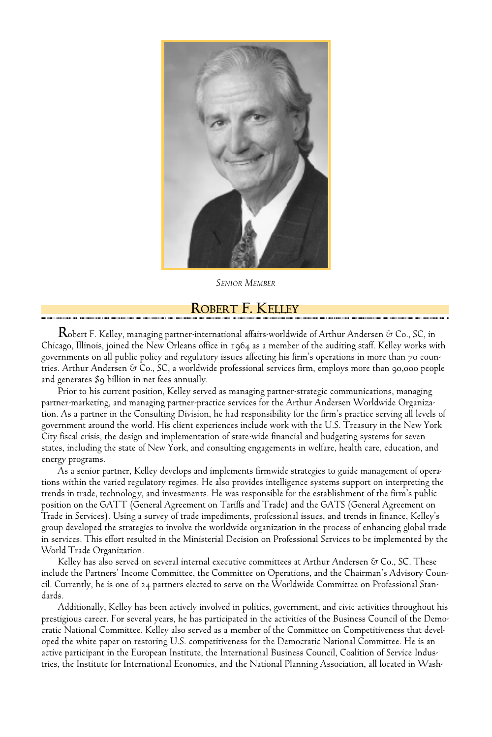

*SENIOR MEMBER*

#### **ROBERT F. KELLEY**

**R**obert F. Kelley, managing partner-international affairs-worldwide of Arthur Andersen & Co., SC, in Chicago, Illinois, joined the New Orleans office in 1964 as a member of the auditing staff. Kelley works with governments on all public policy and regulatory issues affecting his firm's operations in more than 70 countries. Arthur Andersen & Co., SC, a worldwide professional services firm, employs more than 90,000 people and generates \$9 billion in net fees annually.

Prior to his current position, Kelley served as managing partner-strategic communications, managing partner-marketing, and managing partner-practice services for the Arthur Andersen Worldwide Organization. As a partner in the Consulting Division, he had responsibility for the firm's practice serving all levels of government around the world. His client experiences include work with the U.S. Treasury in the New York City fiscal crisis, the design and implementation of state-wide financial and budgeting systems for seven states, including the state of New York, and consulting engagements in welfare, health care, education, and energy programs.

As a senior partner, Kelley develops and implements firmwide strategies to guide management of operations within the varied regulatory regimes. He also provides intelligence systems support on interpreting the trends in trade, technology, and investments. He was responsible for the establishment of the firm's public position on the GATT (General Agreement on Tariffs and Trade) and the GATS (General Agreement on Trade in Services). Using a survey of trade impediments, professional issues, and trends in finance, Kelley's group developed the strategies to involve the worldwide organization in the process of enhancing global trade in services. This effort resulted in the Ministerial Decision on Professional Services to be implemented by the World Trade Organization.

Kelley has also served on several internal executive committees at Arthur Andersen & Co., SC. These include the Partners' Income Committee, the Committee on Operations, and the Chairman's Advisory Council. Currently, he is one of 24 partners elected to serve on the Worldwide Committee on Professional Standards.

Additionally, Kelley has been actively involved in politics, government, and civic activities throughout his prestigious career. For several years, he has participated in the activities of the Business Council of the Democratic National Committee. Kelley also served as a member of the Committee on Competitiveness that developed the white paper on restoring U.S. competitiveness for the Democratic National Committee. He is an active participant in the European Institute, the International Business Council, Coalition of Service Industries, the Institute for International Economics, and the National Planning Association, all located in Wash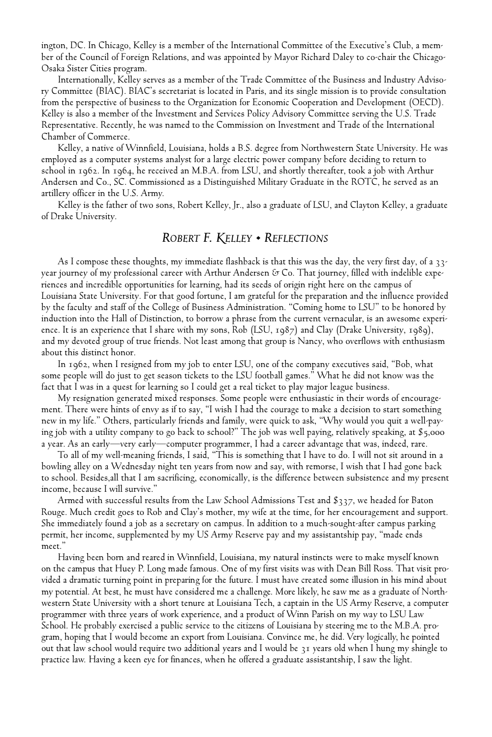ington, DC. In Chicago, Kelley is a member of the International Committee of the Executive's Club, a member of the Council of Foreign Relations, and was appointed by Mayor Richard Daley to co-chair the Chicago-Osaka Sister Cities program.

Internationally, Kelley serves as a member of the Trade Committee of the Business and Industry Advisory Committee (BIAC). BIAC's secretariat is located in Paris, and its single mission is to provide consultation from the perspective of business to the Organization for Economic Cooperation and Development (OECD). Kelley is also a member of the Investment and Services Policy Advisory Committee serving the U.S. Trade Representative. Recently, he was named to the Commission on Investment and Trade of the International Chamber of Commerce.

Kelley, a native of Winnfield, Louisiana, holds a B.S. degree from Northwestern State University. He was employed as a computer systems analyst for a large electric power company before deciding to return to school in 1962. In 1964, he received an M.B.A. from LSU, and shortly thereafter, took a job with Arthur Andersen and Co., SC. Commissioned as a Distinguished Military Graduate in the ROTC, he served as an artillery officer in the U.S. Army.

Kelley is the father of two sons, Robert Kelley, Jr., also a graduate of LSU, and Clayton Kelley, a graduate of Drake University.

#### *ROBERT F. KELLEY • REFLECTIONS*

As I compose these thoughts, my immediate flashback is that this was the day, the very first day, of a 33year journey of my professional career with Arthur Andersen & Co. That journey, filled with indelible experiences and incredible opportunities for learning, had its seeds of origin right here on the campus of Louisiana State University. For that good fortune, I am grateful for the preparation and the influence provided by the faculty and staff of the College of Business Administration. "Coming home to LSU" to be honored by induction into the Hall of Distinction, to borrow a phrase from the current vernacular, is an awesome experience. It is an experience that I share with my sons, Rob (LSU, 1987) and Clay (Drake University, 1989), and my devoted group of true friends. Not least among that group is Nancy, who overflows with enthusiasm about this distinct honor.

In 1962, when I resigned from my job to enter LSU, one of the company executives said, "Bob, what some people will do just to get season tickets to the LSU football games." What he did not know was the fact that I was in a quest for learning so I could get a real ticket to play major league business.

My resignation generated mixed responses. Some people were enthusiastic in their words of encouragement. There were hints of envy as if to say, "I wish I had the courage to make a decision to start something new in my life." Others, particularly friends and family, were quick to ask, "Why would you quit a well-paying job with a utility company to go back to school?" The job was well paying, relatively speaking, at \$5,000 a year. As an early—very early—computer programmer, I had a career advantage that was, indeed, rare.

To all of my well-meaning friends, I said, "This is something that I have to do. I will not sit around in a bowling alley on a Wednesday night ten years from now and say, with remorse, I wish that I had gone back to school. Besides,all that I am sacrificing, economically, is the difference between subsistence and my present income, because I will survive."

Armed with successful results from the Law School Admissions Test and \$337, we headed for Baton Rouge. Much credit goes to Rob and Clay's mother, my wife at the time, for her encouragement and support. She immediately found a job as a secretary on campus. In addition to a much-sought-after campus parking permit, her income, supplemented by my US Army Reserve pay and my assistantship pay, "made ends meet."

Having been born and reared in Winnfield, Louisiana, my natural instincts were to make myself known on the campus that Huey P. Long made famous. One of my first visits was with Dean Bill Ross. That visit provided a dramatic turning point in preparing for the future. I must have created some illusion in his mind about my potential. At best, he must have considered me a challenge. More likely, he saw me as a graduate of Northwestern State University with a short tenure at Louisiana Tech, a captain in the US Army Reserve, a computer programmer with three years of work experience, and a product of Winn Parish on my way to LSU Law School. He probably exercised a public service to the citizens of Louisiana by steering me to the M.B.A. program, hoping that I would become an export from Louisiana. Convince me, he did. Very logically, he pointed out that law school would require two additional years and I would be 31 years old when I hung my shingle to practice law. Having a keen eye for finances, when he offered a graduate assistantship, I saw the light.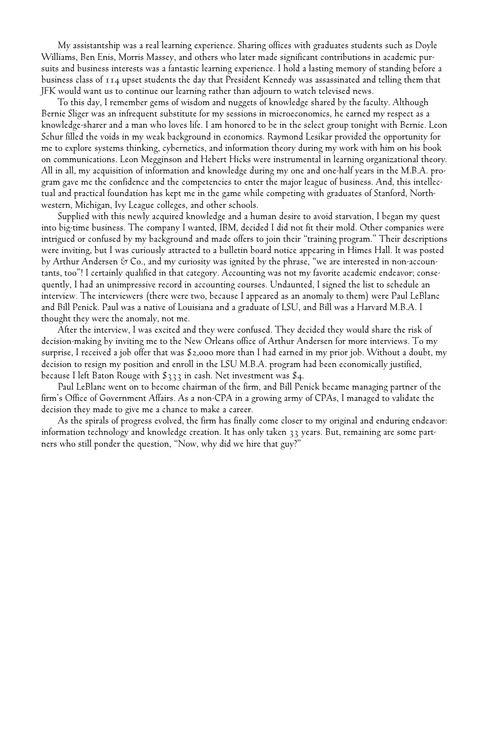My assistantship was a real learning experience. Sharing offices with graduates students such as Doyle Williams, Ben Enis, Morris Massey, and others who later made significant contributions in academic pursuits and business interests was a fantastic learning experience. I hold a lasting memory of standing before a business class of 114 upset students the day that President Kennedy was assassinated and telling them that JFK would want us to continue our learning rather than adjourn to watch televised news.

To this day, I remember gems of wisdom and nuggets of knowledge shared by the faculty. Although Bernie Sliger was an infrequent substitute for my sessions in microeconomics, he earned my respect as a knowledge-sharer and a man who loves life. I am honored to be in the select group tonight with Bernie. Leon Schur filled the voids in my weak background in economics. Raymond Lesikar provided the opportunity for me to explore systems thinking, cybernetics, and information theory during my work with him on his book on communications. Leon Megginson and Hebert Hicks were instrumental in learning organizational theory. All in all, my acquisition of information and knowledge during my one and one-half years in the M.B.A. program gave me the confidence and the competencies to enter the major league of business. And, this intellectual and practical foundation has kept me in the game while competing with graduates of Stanford, Northwestern, Michigan, Ivy League colleges, and other schools.

Supplied with this newly acquired knowledge and a human desire to avoid starvation, I began my quest into big-time business. The company I wanted, IBM, decided I did not fit their mold. Other companies were intrigued or confused by my background and made offers to join their "training program." Their descriptions were inviting, but I was curiously attracted to a bulletin board notice appearing in Himes Hall. It was posted by Arthur Andersen & Co., and my curiosity was ignited by the phrase, "we are interested in non-accountants, too"! I certainly qualified in that category. Accounting was not my favorite academic endeavor; consequently, I had an unimpressive record in accounting courses. Undaunted, I signed the list to schedule an interview. The interviewers (there were two, because I appeared as an anomaly to them) were Paul LeBlanc and Bill Penick. Paul was a native of Louisiana and a graduate of LSU, and Bill was a Harvard M.B.A. I thought they were the anomaly, not me.

After the interview, I was excited and they were confused. They decided they would share the risk of decision-making by inviting me to the New Orleans office of Arthur Andersen for more interviews. To my surprise, I received a job offer that was \$2,000 more than I had earned in my prior job. Without a doubt, my decision to resign my position and enroll in the LSU M.B.A. program had been economically justified, because I left Baton Rouge with \$333 in cash. Net investment was \$4.

Paul LeBlanc went on to become chairman of the firm, and Bill Penick became managing partner of the firm's Office of Government Affairs. As a non-CPA in a growing army of CPAs, I managed to validate the decision they made to give me a chance to make a career.

As the spirals of progress evolved, the firm has finally come closer to my original and enduring endeavor: information technology and knowledge creation. It has only taken 33 years. But, remaining are some partners who still ponder the question, "Now, why did we hire that guy?"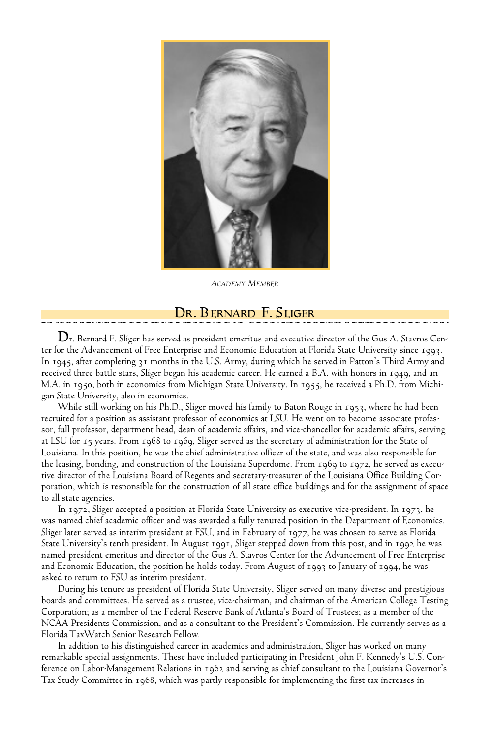

*ACADEMY MEMBER*

#### **DR. BERNARD F. S LIGER**

**D**r. Bernard F. Sliger has served as president emeritus and executive director of the Gus A. Stavros Center for the Advancement of Free Enterprise and Economic Education at Florida State University since 1993. In 1945, after completing 31 months in the U.S. Army, during which he served in Patton's Third Army and received three battle stars, Sliger began his academic career. He earned a B.A. with honors in 1949, and an M.A. in 1950, both in economics from Michigan State University. In 1955, he received a Ph.D. from Michigan State University, also in economics.

While still working on his Ph.D., Sliger moved his family to Baton Rouge in 1953, where he had been recruited for a position as assistant professor of economics at LSU. He went on to become associate professor, full professor, department head, dean of academic affairs, and vice-chancellor for academic affairs, serving at LSU for 15 years. From 1968 to 1969, Sliger served as the secretary of administration for the State of Louisiana. In this position, he was the chief administrative officer of the state, and was also responsible for the leasing, bonding, and construction of the Louisiana Superdome. From 1969 to 1972, he served as executive director of the Louisiana Board of Regents and secretary-treasurer of the Louisiana Office Building Corporation, which is responsible for the construction of all state office buildings and for the assignment of space to all state agencies.

In 1972, Sliger accepted a position at Florida State University as executive vice-president. In 1973, he was named chief academic officer and was awarded a fully tenured position in the Department of Economics. Sliger later served as interim president at FSU, and in February of 1977, he was chosen to serve as Florida State University's tenth president. In August 1991, Sliger stepped down from this post, and in 1992 he was named president emeritus and director of the Gus A. Stavros Center for the Advancement of Free Enterprise and Economic Education, the position he holds today. From August of 1993 to January of 1994, he was asked to return to FSU as interim president.

During his tenure as president of Florida State University, Sliger served on many diverse and prestigious boards and committees. He served as a trustee, vice-chairman, and chairman of the American College Testing Corporation; as a member of the Federal Reserve Bank of Atlanta's Board of Trustees; as a member of the NCAA Presidents Commission, and as a consultant to the President's Commission. He currently serves as a Florida TaxWatch Senior Research Fellow.

In addition to his distinguished career in academics and administration, Sliger has worked on many remarkable special assignments. These have included participating in President John F. Kennedy's U.S. Conference on Labor-Management Relations in 1962 and serving as chief consultant to the Louisiana Governor's Tax Study Committee in 1968, which was partly responsible for implementing the first tax increases in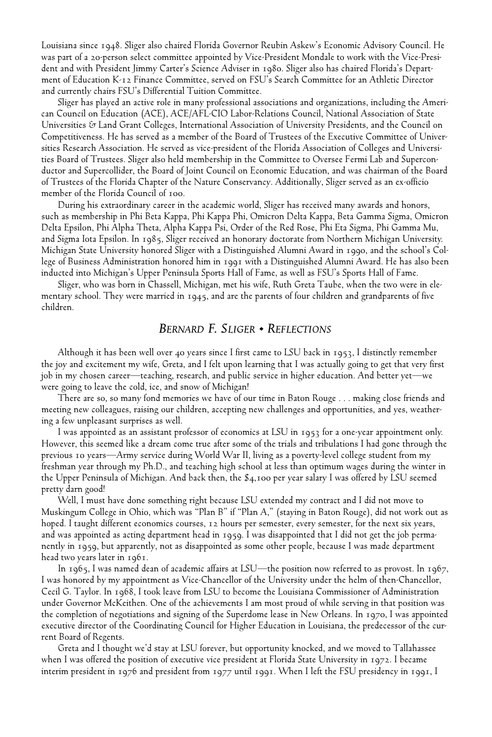Louisiana since 1948. Sliger also chaired Florida Governor Reubin Askew's Economic Advisory Council. He was part of a 20-person select committee appointed by Vice-President Mondale to work with the Vice-President and with President Jimmy Carter's Science Adviser in 1980. Sliger also has chaired Florida's Department of Education K-12 Finance Committee, served on FSU's Search Committee for an Athletic Director and currently chairs FSU's Differential Tuition Committee.

Sliger has played an active role in many professional associations and organizations, including the American Council on Education (ACE), ACE/AFL-CIO Labor-Relations Council, National Association of State Universities & Land Grant Colleges, International Association of University Presidents, and the Council on Competitiveness. He has served as a member of the Board of Trustees of the Executive Committee of Universities Research Association. He served as vice-president of the Florida Association of Colleges and Universities Board of Trustees. Sliger also held membership in the Committee to Oversee Fermi Lab and Superconductor and Supercollider, the Board of Joint Council on Economic Education, and was chairman of the Board of Trustees of the Florida Chapter of the Nature Conservancy. Additionally, Sliger served as an ex-officio member of the Florida Council of 100.

During his extraordinary career in the academic world, Sliger has received many awards and honors, such as membership in Phi Beta Kappa, Phi Kappa Phi, Omicron Delta Kappa, Beta Gamma Sigma, Omicron Delta Epsilon, Phi Alpha Theta, Alpha Kappa Psi, Order of the Red Rose, Phi Eta Sigma, Phi Gamma Mu, and Sigma Iota Epsilon. In 1985, Sliger received an honorary doctorate from Northern Michigan University. Michigan State University honored Sliger with a Distinguished Alumni Award in 1990, and the school's College of Business Administration honored him in 1991 with a Distinguished Alumni Award. He has also been inducted into Michigan's Upper Peninsula Sports Hall of Fame, as well as FSU's Sports Hall of Fame.

Sliger, who was born in Chassell, Michigan, met his wife, Ruth Greta Taube, when the two were in elementary school. They were married in 1945, and are the parents of four children and grandparents of five children.

#### *BERNARD F. SLIGER • REFLECTIONS*

Although it has been well over 40 years since I first came to LSU back in 1953, I distinctly remember the joy and excitement my wife, Greta, and I felt upon learning that I was actually going to get that very first job in my chosen career—teaching, research, and public service in higher education. And better yet—we were going to leave the cold, ice, and snow of Michigan!

There are so, so many fond memories we have of our time in Baton Rouge . . . making close friends and meeting new colleagues, raising our children, accepting new challenges and opportunities, and yes, weathering a few unpleasant surprises as well.

I was appointed as an assistant professor of economics at LSU in 1953 for a one-year appointment only. However, this seemed like a dream come true after some of the trials and tribulations I had gone through the previous 10 years—Army service during World War II, living as a poverty-level college student from my freshman year through my Ph.D., and teaching high school at less than optimum wages during the winter in the Upper Peninsula of Michigan. And back then, the \$4,100 per year salary I was offered by LSU seemed pretty darn good!

Well, I must have done something right because LSU extended my contract and I did not move to Muskingum College in Ohio, which was "Plan B" if "Plan A," (staying in Baton Rouge), did not work out as hoped. I taught different economics courses, 12 hours per semester, every semester, for the next six years, and was appointed as acting department head in 1959. I was disappointed that I did not get the job permanently in 1959, but apparently, not as disappointed as some other people, because I was made department head two years later in 1961.

In 1965, I was named dean of academic affairs at LSU—the position now referred to as provost. In 1967, I was honored by my appointment as Vice-Chancellor of the University under the helm of then-Chancellor, Cecil G. Taylor. In 1968, I took leave from LSU to become the Louisiana Commissioner of Administration under Governor McKeithen. One of the achievements I am most proud of while serving in that position was the completion of negotiations and signing of the Superdome lease in New Orleans. In 1970, I was appointed executive director of the Coordinating Council for Higher Education in Louisiana, the predecessor of the current Board of Regents.

Greta and I thought we'd stay at LSU forever, but opportunity knocked, and we moved to Tallahassee when I was offered the position of executive vice president at Florida State University in 1972. I became interim president in 1976 and president from 1977 until 1991. When I left the FSU presidency in 1991, I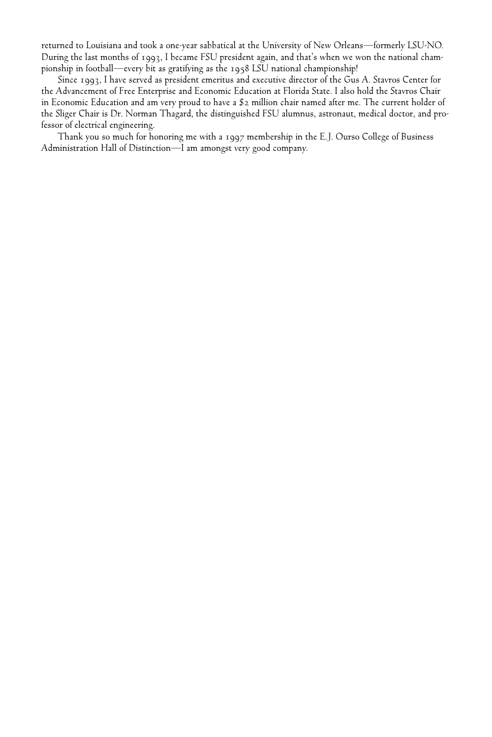returned to Louisiana and took a one-year sabbatical at the University of New Orleans—formerly LSU-NO. During the last months of 1993, I became FSU president again, and that's when we won the national championship in football—every bit as gratifying as the 1958 LSU national championship!

Since 1993, I have served as president emeritus and executive director of the Gus A. Stavros Center for the Advancement of Free Enterprise and Economic Education at Florida State. I also hold the Stavros Chair in Economic Education and am very proud to have a \$2 million chair named after me. The current holder of the Sliger Chair is Dr. Norman Thagard, the distinguished FSU alumnus, astronaut, medical doctor, and professor of electrical engineering.

Thank you so much for honoring me with a 1997 membership in the E.J. Ourso College of Business Administration Hall of Distinction—I am amongst very good company.